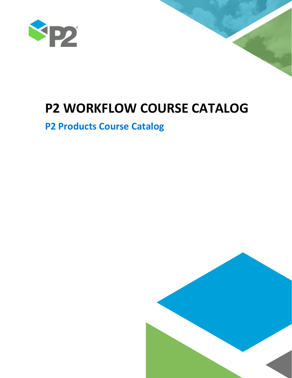

# **P2 WORKFLOW COURSE CATALOG**

## **P2 Products Course Catalog**

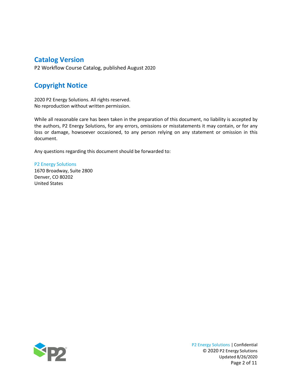## **Catalog Version**

P2 Workflow Course Catalog, published August 2020

## **Copyright Notice**

2020 P2 Energy Solutions. All rights reserved. No reproduction without written permission.

While all reasonable care has been taken in the preparation of this document, no liability is accepted by the authors, P2 Energy Solutions, for any errors, omissions or misstatements it may contain, or for any loss or damage, howsoever occasioned, to any person relying on any statement or omission in this document.

Any questions regarding this document should be forwarded to:

P2 Energy Solutions 1670 Broadway, Suite 2800 Denver, CO 80202 United States

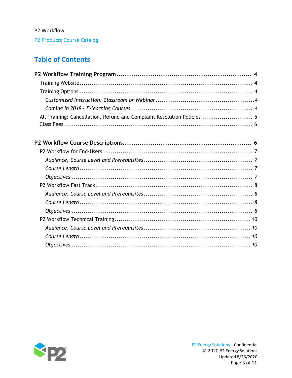P2 Products Course Catalog

## **Table of Contents**

| All Training: Cancellation, Refund and Complaint Resolution Policies  5 |  |
|-------------------------------------------------------------------------|--|
|                                                                         |  |

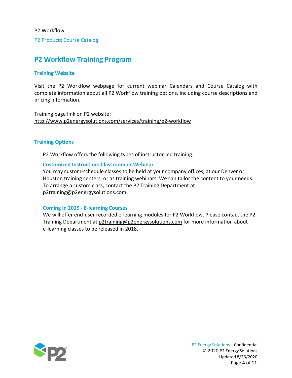P2 Products Course Catalog

## <span id="page-3-0"></span>**P2 Workflow Training Program**

#### <span id="page-3-1"></span>**Training Website**

Visit the P2 Workflow webpage for current webinar Calendars and Course Catalog with complete information about all P2 Workflow training options, including course descriptions and pricing information.

Training page link on P2 website: <http://www.p2energysolutions.com/services/training/p2-workflow>

#### <span id="page-3-2"></span>**Training Options**

P2 Workflow offers the following types of instructor-led training:

#### <span id="page-3-3"></span>**Customized Instruction: Classroom or Webinar**

You may custom-schedule classes to be held at your company offices, at our Denver or Houston training centers, or as training webinars. We can tailor the content to your needs. To arrange a custom class, contact the P2 Training Department at [p2training@p2energysolutions.com.](mailto:p2training@p2energysolutions.com)

#### <span id="page-3-4"></span>**Coming in 2019 - E-learning Courses**

We will offer end-user recorded e-learning modules for P2 Workflow. Please contact the P2 Training Department at [p2training@p2energysolutions.com](mailto:p2training@p2energysolutions.com) for more information about e-learning classes to be released in 2018.

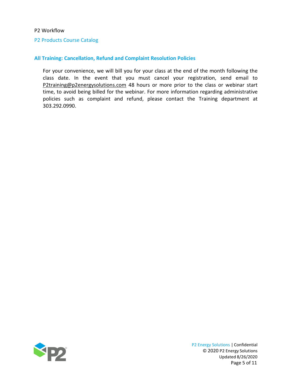#### P2 Products Course Catalog

#### <span id="page-4-0"></span>**All Training: Cancellation, Refund and Complaint Resolution Policies**

For your convenience, we will bill you for your class at the end of the month following the class date. In the event that you must cancel your registration, send email to [P2training@p2energysolutions.com](mailto:P2training@p2energysolutions.com) 48 hours or more prior to the class or webinar start time, to avoid being billed for the webinar. For more information regarding administrative policies such as complaint and refund, please contact the Training department at 303.292.0990.

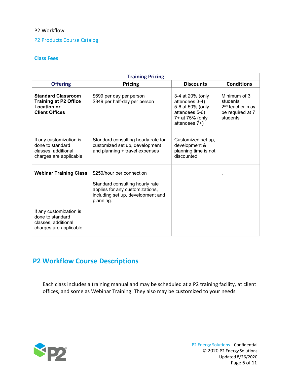#### P2 Products Course Catalog

#### <span id="page-5-1"></span>**Class Fees**

| <b>Training Pricing</b>                                                                                  |                                                                                                                                                   |                                                                                                              |                                                                                         |  |  |
|----------------------------------------------------------------------------------------------------------|---------------------------------------------------------------------------------------------------------------------------------------------------|--------------------------------------------------------------------------------------------------------------|-----------------------------------------------------------------------------------------|--|--|
| <b>Offering</b>                                                                                          | <b>Pricing</b>                                                                                                                                    | <b>Discounts</b>                                                                                             | <b>Conditions</b>                                                                       |  |  |
| <b>Standard Classroom</b><br><b>Training at P2 Office</b><br><b>Location or</b><br><b>Client Offices</b> | \$699 per day per person<br>\$349 per half-day per person                                                                                         | 3-4 at 20% (only<br>attendees 3-4)<br>5-6 at 50% (only<br>attendees 5-6)<br>7+ at 75% (only<br>attendees 7+) | Minimum of 3<br>students<br>2 <sup>nd</sup> teacher may<br>be required at 7<br>students |  |  |
| If any customization is<br>done to standard<br>classes, additional<br>charges are applicable             | Standard consulting hourly rate for<br>customized set up, development<br>and planning + travel expenses                                           | Customized set up,<br>development &<br>planning time is not<br>discounted                                    |                                                                                         |  |  |
| <b>Webinar Training Class</b>                                                                            | \$250/hour per connection<br>Standard consulting hourly rate<br>applies for any customizations,<br>including set up, development and<br>planning. |                                                                                                              |                                                                                         |  |  |
| If any customization is<br>done to standard<br>classes, additional<br>charges are applicable             |                                                                                                                                                   |                                                                                                              |                                                                                         |  |  |

## **P2 Workflow Course Descriptions**

<span id="page-5-0"></span>Each class includes a training manual and may be scheduled at a P2 training facility, at client offices, and some as Webinar Training. They also may be customized to your needs.

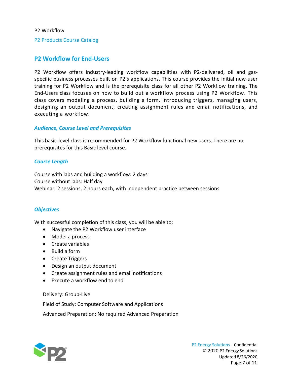P2 Products Course Catalog

#### **P2 Workflow for End-Users**

P2 Workflow offers industry-leading workflow capabilities with P2-delivered, oil and gasspecific business processes built on P2's applications. This course provides the initial new-user training for P2 Workflow and is the prerequisite class for all other P2 Workflow training. The End-Users class focuses on how to build out a workflow process using P2 Workflow. This class covers modeling a process, building a form, introducing triggers, managing users, designing an output document, creating assignment rules and email notifications, and executing a workflow.

#### <span id="page-6-0"></span>*Audience, Course Level and Prerequisites*

This basic-level class is recommended for P2 Workflow functional new users. There are no prerequisites for this Basic level course.

#### <span id="page-6-1"></span>*Course Length*

Course with labs and building a workflow: 2 days Course without labs: Half day Webinar: 2 sessions, 2 hours each, with independent practice between sessions

#### <span id="page-6-2"></span>*Objectives*

With successful completion of this class, you will be able to:

- Navigate the P2 Workflow user interface
- Model a process
- Create variables
- Build a form
- Create Triggers
- Design an output document
- Create assignment rules and email notifications
- Execute a workflow end to end

Delivery: Group-Live

Field of Study: Computer Software and Applications

Advanced Preparation: No required Advanced Preparation

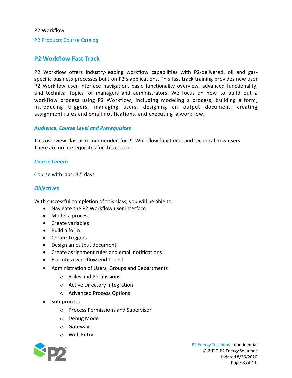#### P2 Products Course Catalog

#### <span id="page-7-0"></span>**P2 Workflow Fast Track**

P2 Workflow offers industry-leading workflow capabilities with P2-delivered, oil and gasspecific business processes built on P2's applications. This fast track training provides new user P2 Workflow user interface navigation, basic functionality overview, advanced functionality, and technical topics for managers and administrators. We focus on how to build out a workflow process using P2 Workflow, including modeling a process, building a form, introducing triggers, managing users, designing an output document, creating assignment rules and email notifications, and executing a workflow.

#### <span id="page-7-1"></span>*Audience, Course Level and Prerequisites*

This overview class is recommended for P2 Workflow functional and technical new users. There are no prerequisites for this course.

#### <span id="page-7-2"></span>*Course Length*

Course with labs: 3.5 days

#### <span id="page-7-3"></span>*Objectives*

With successful completion of this class, you will be able to:

- Navigate the P2 Workflow user interface
- Model a process
- Create variables
- Build a form
- Create Triggers
- Design an output document
- Create assignment rules and email notifications
- Execute a workflow end to end
- Administration of Users, Groups and Departments
	- o Roles and Permissions
	- o Active Directory Integration
	- o Advanced Process Options
- Sub-process
	- o Process Permissions and Supervisor
	- o Debug Mode
	- o Gateways
	- o Web Entry

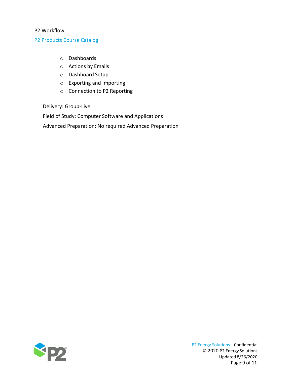#### P2 Products Course Catalog

- o Dashboards
- o Actions by Emails
- o Dashboard Setup
- o Exporting and Importing
- o Connection to P2 Reporting

Delivery: Group-Live

Field of Study: Computer Software and Applications

Advanced Preparation: No required Advanced Preparation



P2 Energy Solutions | Confidential © 2020 P2 Energy Solutions Updated 8/26/2020 Page 9 of 11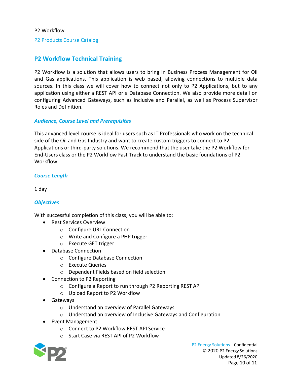P2 Products Course Catalog

#### <span id="page-9-0"></span>**P2 Workflow Technical Training**

P2 Workflow is a solution that allows users to bring in Business Process Management for Oil and Gas applications. This application is web based, allowing connections to multiple data sources. In this class we will cover how to connect not only to P2 Applications, but to any application using either a REST API or a Database Connection. We also provide more detail on configuring Advanced Gateways, such as Inclusive and Parallel, as well as Process Supervisor Roles and Definition.

#### <span id="page-9-1"></span>*Audience, Course Level and Prerequisites*

This advanced level course is ideal for users such as IT Professionals who work on the technical side of the Oil and Gas Industry and want to create custom triggers to connect to P2 Applications or third-party solutions. We recommend that the user take the P2 Workflow for End-Users class or the P2 Workflow Fast Track to understand the basic foundations of P2 **Workflow** 

#### <span id="page-9-2"></span>*Course Length*

<span id="page-9-3"></span>1 day

#### *Objectives*

With successful completion of this class, you will be able to:

- Rest Services Overview
	- o Configure URL Connection
	- o Write and Configure a PHP trigger
	- o Execute GET trigger
- Database Connection
	- o Configure Database Connection
	- o Execute Queries
	- o Dependent Fields based on field selection
- Connection to P2 Reporting
	- o Configure a Report to run through P2 Reporting REST API
	- o Upload Report to P2 Workflow
- Gateways
	- o Understand an overview of Parallel Gateways
	- o Understand an overview of Inclusive Gateways and Configuration
- Event Management
	- o Connect to P2 Workflow REST API Service
	- o Start Case via REST API of P2 Workflow